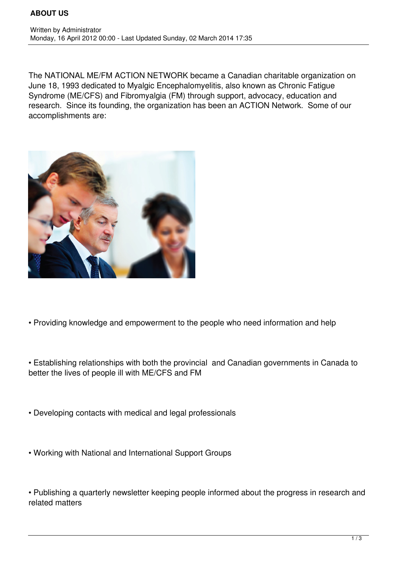The NATIONAL ME/FM ACTION NETWORK became a Canadian charitable organization on June 18, 1993 dedicated to Myalgic Encephalomyelitis, also known as Chronic Fatigue Syndrome (ME/CFS) and Fibromyalgia (FM) through support, advocacy, education and research. Since its founding, the organization has been an ACTION Network. Some of our accomplishments are:



- Providing knowledge and empowerment to the people who need information and help
- Establishing relationships with both the provincial and Canadian governments in Canada to better the lives of people ill with ME/CFS and FM
- Developing contacts with medical and legal professionals
- Working with National and International Support Groups

• Publishing a quarterly newsletter keeping people informed about the progress in research and related matters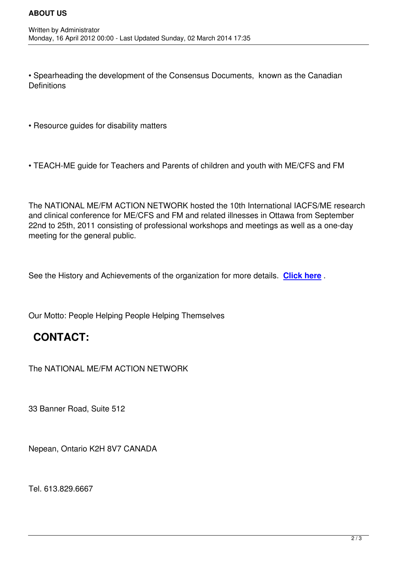• Spearheading the development of the Consensus Documents, known as the Canadian **Definitions** 

• Resource guides for disability matters

• TEACH-ME guide for Teachers and Parents of children and youth with ME/CFS and FM

The NATIONAL ME/FM ACTION NETWORK hosted the 10th International IACFS/ME research and clinical conference for ME/CFS and FM and related illnesses in Ottawa from September 22nd to 25th, 2011 consisting of professional workshops and meetings as well as a one-day meeting for the general public.

See the History and Achievements of the organization for more details. **Click here** .

Our Motto: People Helping People Helping Themselves

## **CONTACT:**

The NATIONAL ME/FM ACTION NETWORK

33 Banner Road, Suite 512

Nepean, Ontario K2H 8V7 CANADA

Tel. 613.829.6667